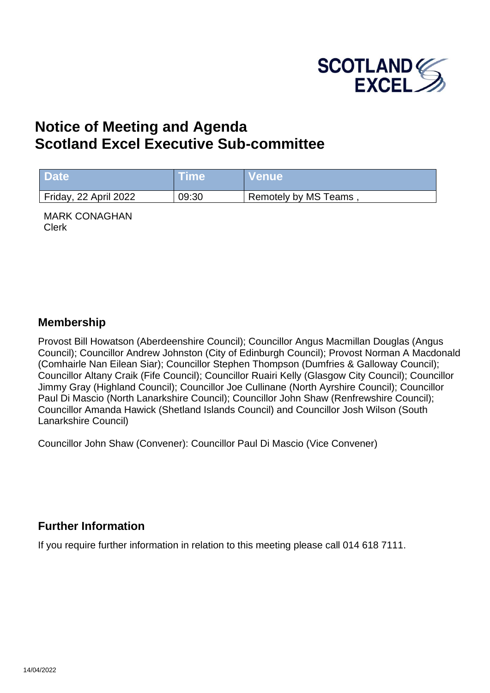

# **Notice of Meeting and Agenda Scotland Excel Executive Sub-committee**

| <b>Date</b>           | <b>Lime</b> | <b>Nenue</b>         |
|-----------------------|-------------|----------------------|
| Friday, 22 April 2022 | 09:30       | Remotely by MS Teams |

MARK CONAGHAN Clerk

#### **Membership**

Provost Bill Howatson (Aberdeenshire Council); Councillor Angus Macmillan Douglas (Angus Council); Councillor Andrew Johnston (City of Edinburgh Council); Provost Norman A Macdonald (Comhairle Nan Eilean Siar); Councillor Stephen Thompson (Dumfries & Galloway Council); Councillor Altany Craik (Fife Council); Councillor Ruairi Kelly (Glasgow City Council); Councillor Jimmy Gray (Highland Council); Councillor Joe Cullinane (North Ayrshire Council); Councillor Paul Di Mascio (North Lanarkshire Council); Councillor John Shaw (Renfrewshire Council); Councillor Amanda Hawick (Shetland Islands Council) and Councillor Josh Wilson (South Lanarkshire Council)

Councillor John Shaw (Convener): Councillor Paul Di Mascio (Vice Convener)

#### **Further Information**

If you require further information in relation to this meeting please call 014 618 7111.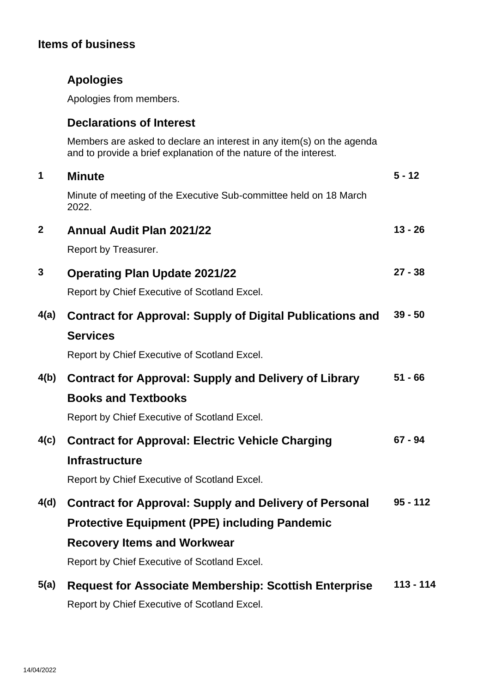## **Items of business**

|  | <b>Apologies</b> |
|--|------------------|
|  |                  |

Apologies from members.

### **Declarations of Interest**

Members are asked to declare an interest in any item(s) on the agenda and to provide a brief explanation of the nature of the interest.

| 1            | <b>Minute</b>                                                              | $5 - 12$    |  |
|--------------|----------------------------------------------------------------------------|-------------|--|
|              | Minute of meeting of the Executive Sub-committee held on 18 March<br>2022. |             |  |
| $\mathbf{2}$ | <b>Annual Audit Plan 2021/22</b>                                           | $13 - 26$   |  |
|              | Report by Treasurer.                                                       |             |  |
| 3            | <b>Operating Plan Update 2021/22</b>                                       | $27 - 38$   |  |
|              | Report by Chief Executive of Scotland Excel.                               |             |  |
| 4(a)         | <b>Contract for Approval: Supply of Digital Publications and</b>           | $39 - 50$   |  |
|              | <b>Services</b>                                                            |             |  |
|              | Report by Chief Executive of Scotland Excel.                               |             |  |
| 4(b)         | <b>Contract for Approval: Supply and Delivery of Library</b>               | $51 - 66$   |  |
|              | <b>Books and Textbooks</b>                                                 |             |  |
|              | Report by Chief Executive of Scotland Excel.                               |             |  |
| 4(c)         | <b>Contract for Approval: Electric Vehicle Charging</b>                    | $67 - 94$   |  |
|              | <b>Infrastructure</b>                                                      |             |  |
|              | Report by Chief Executive of Scotland Excel.                               |             |  |
| 4(d)         | <b>Contract for Approval: Supply and Delivery of Personal</b>              | $95 - 112$  |  |
|              | <b>Protective Equipment (PPE) including Pandemic</b>                       |             |  |
|              | <b>Recovery Items and Workwear</b>                                         |             |  |
|              | Report by Chief Executive of Scotland Excel.                               |             |  |
| 5(a)         | <b>Request for Associate Membership: Scottish Enterprise</b>               | $113 - 114$ |  |
|              | Report by Chief Executive of Scotland Excel.                               |             |  |